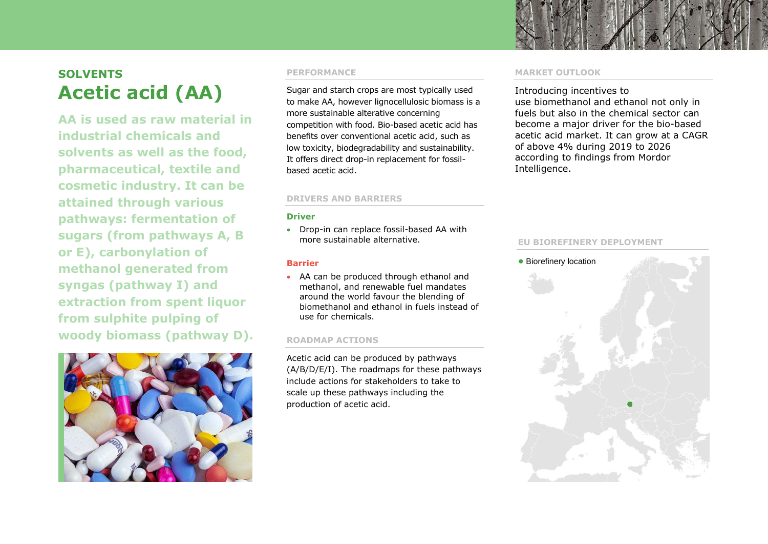

## **SOLVENTS Acetic acid (AA)**

**AA is used as raw material in industrial chemicals and solvents as well as the food, pharmaceutical, textile and cosmetic industry. It can be attained through various pathways: fermentation of sugars (from pathways A, B or E), carbonylation of methanol generated from syngas (pathway I) and extraction from spent liquor from sulphite pulping of woody biomass (pathway D).**



## **PERFORMANCE**

Sugar and starch crops are most typically used to make AA, however lignocellulosic biomass is a more sustainable alterative concerning competition with food. Bio-based acetic acid has benefits over conventional acetic acid, such as low toxicity, biodegradability and sustainability. It offers direct drop-in replacement for fossilbased acetic acid.

### **DRIVERS AND BARRIERS**

### **Driver**

• Drop-in can replace fossil-based AA with more sustainable alternative.

## **Barrier**

• AA can be produced through ethanol and methanol, and renewable fuel mandates around the world favour the blending of biomethanol and ethanol in fuels instead of use for chemicals.

## **ROADMAP ACTIONS**

Acetic acid can be produced by pathways (A/B/D/E/I). The roadmaps for these pathways include actions for stakeholders to take to scale up these pathways including the production of acetic acid.

#### **MARKET OUTLOOK**

## Introducing incentives to

use biomethanol and ethanol not only in fuels but also in the chemical sector can become a major driver for the bio-based acetic acid market. It can grow at a CAGR of above 4% during 2019 to 2026 according to findings from Mordor Intelligence.

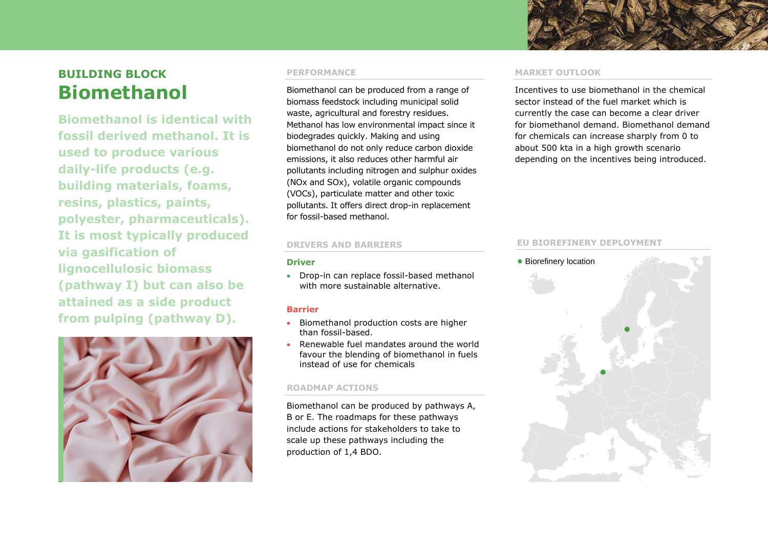

## **BUILDING BLOCK Biomethanol**

**Biomethanol is identical with fossil derived methanol. It is used to produce various daily-life products (e.g. building materials, foams, resins, plastics, paints, polyester, pharmaceuticals). It is most typically produced via gasification of lignocellulosic biomass (pathway I) but can also be attained as a side product from pulping (pathway D).** 



## **PERFORMANCE**

Biomethanol can be produced from a range of biomass feedstock including municipal solid waste, agricultural and forestry residues. Methanol has low environmental impact since it biodegrades quickly. Making and using biomethanol do not only reduce carbon dioxide emissions, it also reduces other harmful air pollutants including nitrogen and sulphur oxides (NOx and SOx), volatile organic compounds (VOCs), particulate matter and other toxic pollutants. It offers direct drop-in replacement for fossil-based methanol.

## **DRIVERS AND BARRIERS**

## **Driver**

• Drop-in can replace fossil-based methanol with more sustainable alternative.

## **Barrier**

- Biomethanol production costs are higher than fossil-based.
- Renewable fuel mandates around the world favour the blending of biomethanol in fuels instead of use for chemicals

## **ROADMAP ACTIONS**

Biomethanol can be produced by pathways A, B or E. The roadmaps for these pathways include actions for stakeholders to take to scale up these pathways including the production of 1,4 BDO.

## **MARKET OUTLOOK**

Incentives to use biomethanol in the chemical sector instead of the fuel market which is currently the case can become a clear driver for biomethanol demand. Biomethanol demand for chemicals can increase sharply from 0 to about 500 kta in a high growth scenario depending on the incentives being introduced.

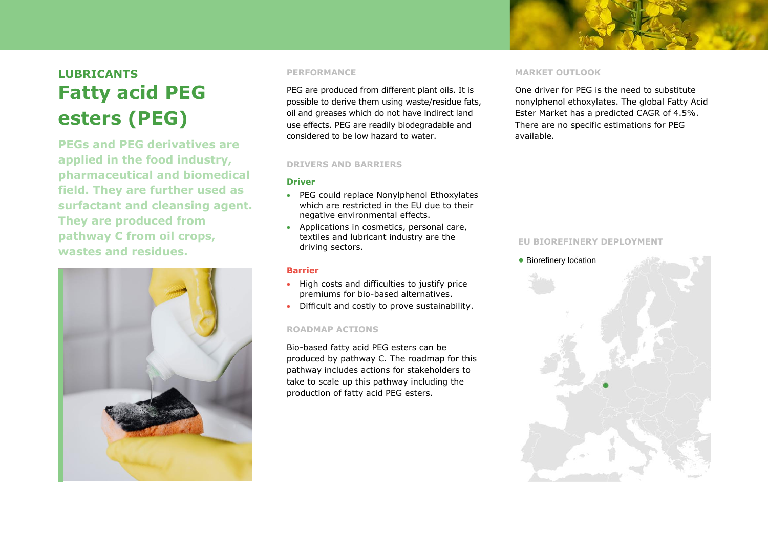## **LUBRICANTS Fatty acid PEG esters (PEG)**

**PEGs and PEG derivatives are applied in the food industry, pharmaceutical and biomedical field. They are further used as surfactant and cleansing agent. They are produced from pathway C from oil crops, wastes and residues.** 



#### **PERFORMANCE**

PEG are produced from different plant oils. It is possible to derive them using waste/residue fats, oil and greases which do not have indirect land use effects. PEG are readily biodegradable and considered to be low hazard to water.

#### **DRIVERS AND BARRIERS**

### **Driver**

- PEG could replace Nonylphenol Ethoxylates which are restricted in the EU due to their negative environmental effects.
- Applications in cosmetics, personal care, textiles and lubricant industry are the driving sectors.

## **Barrier**

- High costs and difficulties to justify price premiums for bio-based alternatives.
- Difficult and costly to prove sustainability.

## **ROADMAP ACTIONS**

Bio-based fatty acid PEG esters can be produced by pathway C. The roadmap for this pathway includes actions for stakeholders to take to scale up this pathway including the production of fatty acid PEG esters.

#### **MARKET OUTLOOK**

One driver for PEG is the need to substitute nonylphenol ethoxylates. The global Fatty Acid Ester Market has a predicted CAGR of 4.5%. There are no specific estimations for PEG available.

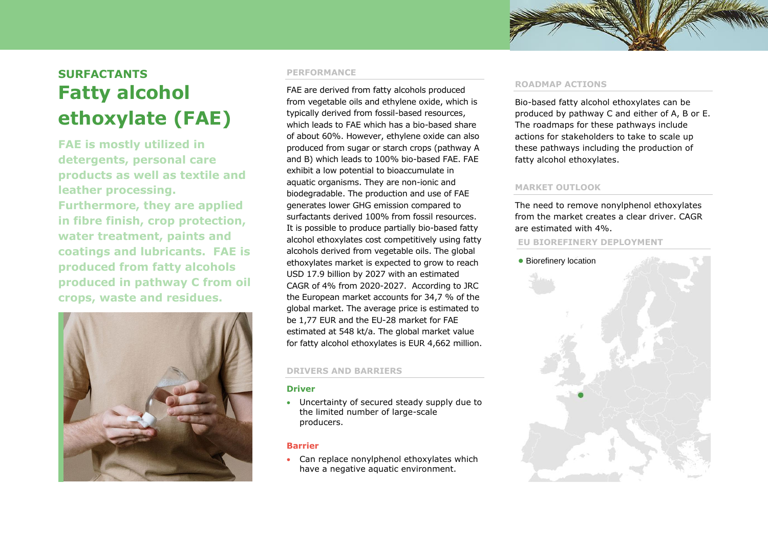

# **SURFACTANTS Fatty alcohol ethoxylate (FAE)**

**FAE is mostly utilized in detergents, personal care products as well as textile and leather processing. Furthermore, they are applied in fibre finish, crop protection, water treatment, paints and coatings and lubricants. FAE is produced from fatty alcohols produced in pathway C from oil crops, waste and residues.** 



## **PERFORMANCE**

FAE are derived from fatty alcohols produced from vegetable oils and ethylene oxide, which is typically derived from fossil-based resources, which leads to FAE which has a bio-based share of about 60%. However, ethylene oxide can also produced from sugar or starch crops (pathway A and B) which leads to 100% bio-based FAE. FAE exhibit a low potential to bioaccumulate in aquatic organisms. They are non-ionic and biodegradable. The production and use of FAE generates lower GHG emission compared to surfactants derived 100% from fossil resources. It is possible to produce partially bio-based fatty alcohol ethoxylates cost competitively using fatty alcohols derived from vegetable oils. The global ethoxylates market is expected to grow to reach USD 17.9 billion by 2027 with an estimated CAGR of 4% from 2020-2027. According to JRC the European market accounts for 34,7 % of the global market. The average price is estimated to be 1,77 EUR and the EU-28 market for FAE estimated at 548 kt/a. The global market value for fatty alcohol ethoxylates is EUR 4,662 million.

### **DRIVERS AND BARRIERS**

### **Driver**

• Uncertainty of secured steady supply due to the limited number of large-scale producers.

## **Barrier**

• Can replace nonylphenol ethoxylates which have a negative aquatic environment.

## **ROADMAP ACTIONS**

Bio-based fatty alcohol ethoxylates can be produced by pathway C and either of A, B or E. The roadmaps for these pathways include actions for stakeholders to take to scale up these pathways including the production of fatty alcohol ethoxylates.

## **MARKET OUTLOOK**

The need to remove nonylphenol ethoxylates from the market creates a clear driver. CAGR are estimated with 4%.

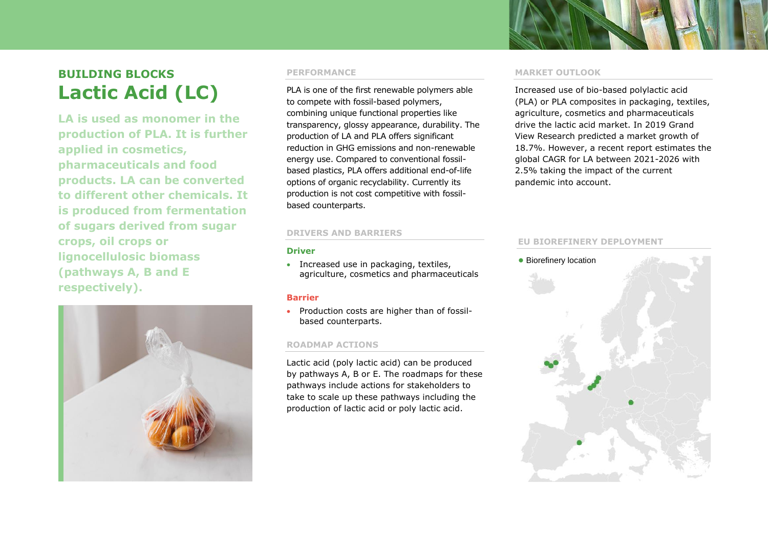## **BUILDING BLOCKS Lactic Acid (LC)**

**LA is used as monomer in the production of PLA. It is further applied in cosmetics, pharmaceuticals and food products. LA can be converted to different other chemicals. It is produced from fermentation of sugars derived from sugar crops, oil crops or lignocellulosic biomass (pathways A, B and E respectively).**



#### **PERFORMANCE**

PLA is one of the first renewable polymers able to compete with fossil-based polymers, combining unique functional properties like transparency, glossy appearance, durability. The production of LA and PLA offers significant reduction in GHG emissions and non-renewable energy use. Compared to conventional fossilbased plastics, PLA offers additional end-of-life options of organic recyclability. Currently its production is not cost competitive with fossilbased counterparts.

## **DRIVERS AND BARRIERS**

### **Driver**

• Increased use in packaging, textiles, agriculture, cosmetics and pharmaceuticals

## **Barrier**

• Production costs are higher than of fossilbased counterparts.

## **ROADMAP ACTIONS**

Lactic acid (poly lactic acid) can be produced by pathways A, B or E. The roadmaps for these pathways include actions for stakeholders to take to scale up these pathways including the production of lactic acid or poly lactic acid.

### **MARKET OUTLOOK**

Increased use of bio-based polylactic acid (PLA) or PLA composites in packaging, textiles, agriculture, cosmetics and pharmaceuticals drive the lactic acid market. In 2019 Grand View Research predicted a market growth of 18.7%. However, a recent report estimates the global CAGR for LA between 2021-2026 with 2.5% taking the impact of the current pandemic into account.

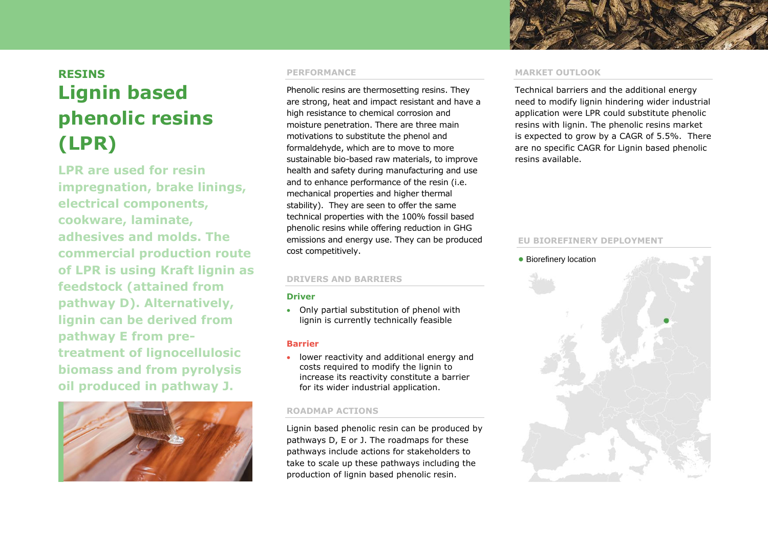

# **RESINS Lignin based phenolic resins (LPR)**

**LPR are used for resin impregnation, brake linings, electrical components, cookware, laminate, adhesives and molds. The commercial production route of LPR is using Kraft lignin as feedstock (attained from pathway D). Alternatively, lignin can be derived from pathway E from pretreatment of lignocellulosic biomass and from pyrolysis oil produced in pathway J.**



## **PERFORMANCE**

Phenolic resins are thermosetting resins. They are strong, heat and impact resistant and have a high resistance to chemical corrosion and moisture penetration. There are three main motivations to substitute the phenol and formaldehyde, which are to move to more sustainable bio-based raw materials, to improve health and safety during manufacturing and use and to enhance performance of the resin (i.e. mechanical properties and higher thermal stability). They are seen to offer the same technical properties with the 100% fossil based phenolic resins while offering reduction in GHG emissions and energy use. They can be produced cost competitively.

## **DRIVERS AND BARRIERS**

## **Driver**

• Only partial substitution of phenol with lignin is currently technically feasible

## **Barrier**

• lower reactivity and additional energy and costs required to modify the lignin to increase its reactivity constitute a barrier for its wider industrial application.

## **ROADMAP ACTIONS**

Lignin based phenolic resin can be produced by pathways D, E or J. The roadmaps for these pathways include actions for stakeholders to take to scale up these pathways including the production of lignin based phenolic resin.

### **MARKET OUTLOOK**

Technical barriers and the additional energy need to modify lignin hindering wider industrial application were LPR could substitute phenolic resins with lignin. The phenolic resins market is expected to grow by a CAGR of 5.5%. There are no specific CAGR for Lignin based phenolic resins available.

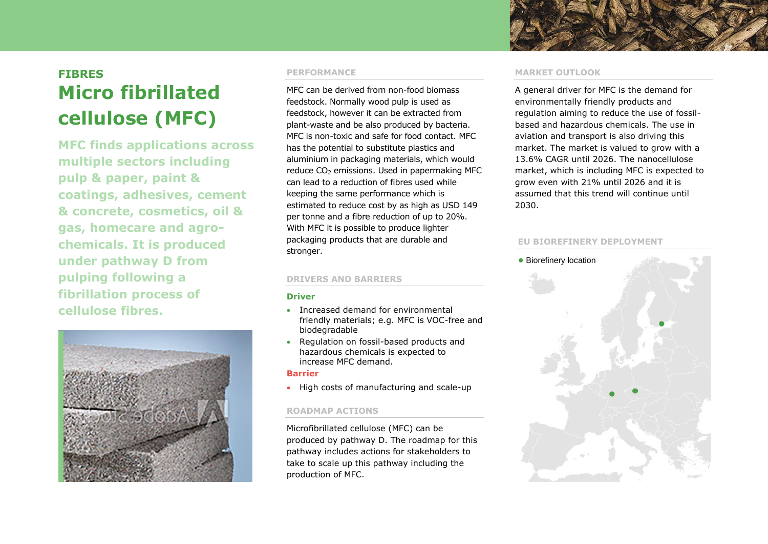

# **FIBRES Micro fibrillated cellulose (MFC)**

**MFC finds applications across multiple sectors including pulp & paper, paint & coatings, adhesives, cement & concrete, cosmetics, oil & gas, homecare and agrochemicals. It is produced under pathway D from pulping following a fibrillation process of cellulose fibres.**



#### **PERFORMANCE**

MFC can be derived from non-food biomass feedstock. Normally wood pulp is used as feedstock, however it can be extracted from plant-waste and be also produced by bacteria. MFC is non-toxic and safe for food contact. MFC has the potential to substitute plastics and aluminium in packaging materials, which would reduce  $CO<sub>2</sub>$  emissions. Used in papermaking MFC can lead to a reduction of fibres used while keeping the same performance which is estimated to reduce cost by as high as USD 149 per tonne and a fibre reduction of up to 20%. With MFC it is possible to produce lighter packaging products that are durable and stronger.

## **DRIVERS AND BARRIERS**

#### **Driver**

- Increased demand for environmental friendly materials; e.g. MFC is VOC-free and biodegradable
- Regulation on fossil-based products and hazardous chemicals is expected to increase MFC demand.

### **Barrier**

• High costs of manufacturing and scale-up

## **ROADMAP ACTIONS**

Microfibrillated cellulose (MFC) can be produced by pathway D. The roadmap for this pathway includes actions for stakeholders to take to scale up this pathway including the production of MFC.

#### **MARKET OUTLOOK**

A general driver for MFC is the demand for environmentally friendly products and regulation aiming to reduce the use of fossilbased and hazardous chemicals. The use in aviation and transport is also driving this market. The market is valued to grow with a 13.6% CAGR until 2026. The nanocellulose market, which is including MFC is expected to grow even with 21% until 2026 and it is assumed that this trend will continue until 2030.

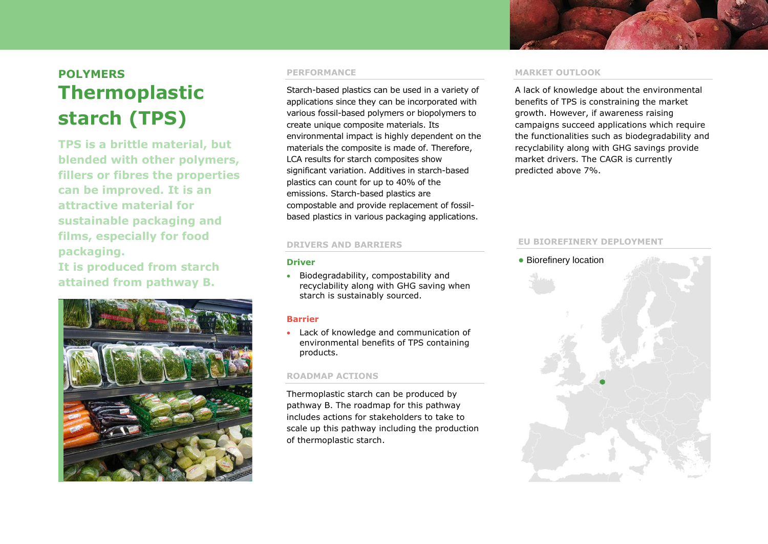

# **POLYMERS Thermoplastic starch (TPS)**

**TPS is a brittle material, but blended with other polymers, fillers or fibres the properties can be improved. It is an attractive material for sustainable packaging and films, especially for food packaging.** 

**It is produced from starch attained from pathway B.**



## **PERFORMANCE**

Starch-based plastics can be used in a variety of applications since they can be incorporated with various fossil-based polymers or biopolymers to create unique composite materials. Its environmental impact is highly dependent on the materials the composite is made of. Therefore, LCA results for starch composites show significant variation. Additives in starch-based plastics can count for up to 40% of the emissions. Starch-based plastics are compostable and provide replacement of fossilbased plastics in various packaging applications.

## **DRIVERS AND BARRIERS**

## **Driver**

• Biodegradability, compostability and recyclability along with GHG saving when starch is sustainably sourced.

## **Barrier**

• Lack of knowledge and communication of environmental benefits of TPS containing products.

## **ROADMAP ACTIONS**

Thermoplastic starch can be produced by pathway B. The roadmap for this pathway includes actions for stakeholders to take to scale up this pathway including the production of thermoplastic starch.

#### **MARKET OUTLOOK**

A lack of knowledge about the environmental benefits of TPS is constraining the market growth. However, if awareness raising campaigns succeed applications which require the functionalities such as biodegradability and recyclability along with GHG savings provide market drivers. The CAGR is currently predicted above 7%.

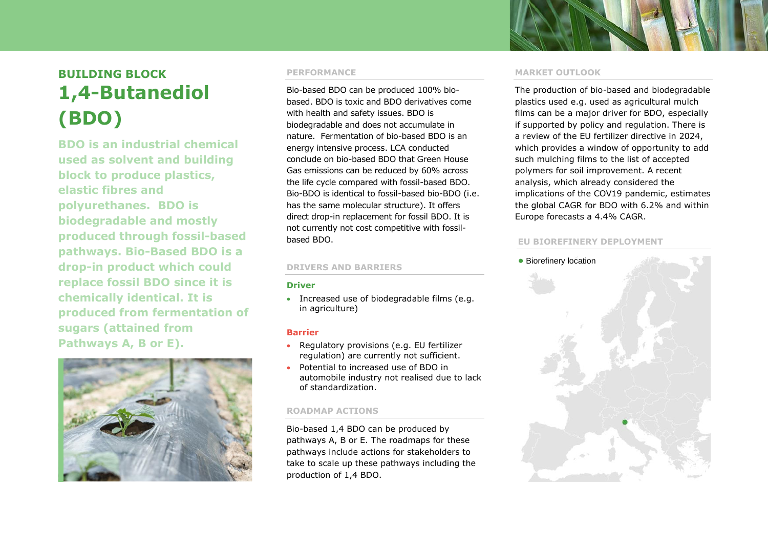# **BUILDING BLOCK 1,4-Butanediol (BDO)**

**BDO is an industrial chemical used as solvent and building block to produce plastics, elastic fibres and polyurethanes. BDO is biodegradable and mostly produced through fossil-based pathways. Bio-Based BDO is a drop-in product which could replace fossil BDO since it is chemically identical. It is produced from fermentation of sugars (attained from Pathways A, B or E).** 



#### **PERFORMANCE**

Bio-based BDO can be produced 100% biobased. BDO is toxic and BDO derivatives come with health and safety issues. BDO is biodegradable and does not accumulate in nature. Fermentation of bio-based BDO is an energy intensive process. LCA conducted conclude on bio-based BDO that Green House Gas emissions can be reduced by 60% across the life cycle compared with fossil-based BDO. Bio-BDO is identical to fossil-based bio-BDO (i.e. has the same molecular structure). It offers direct drop-in replacement for fossil BDO. It is not currently not cost competitive with fossilbased BDO.

## **DRIVERS AND BARRIERS**

#### **Driver**

• Increased use of biodegradable films (e.g. in agriculture)

#### **Barrier**

- Regulatory provisions (e.g. EU fertilizer regulation) are currently not sufficient.
- Potential to increased use of BDO in automobile industry not realised due to lack of standardization.

#### **ROADMAP ACTIONS**

Bio-based 1,4 BDO can be produced by pathways A, B or E. The roadmaps for these pathways include actions for stakeholders to take to scale up these pathways including the production of 1,4 BDO.

#### **MARKET OUTLOOK**

The production of bio-based and biodegradable plastics used e.g. used as agricultural mulch films can be a major driver for BDO, especially if supported by policy and regulation. There is a review of the EU fertilizer directive in 2024, which provides a window of opportunity to add such mulching films to the list of accepted polymers for soil improvement. A recent analysis, which already considered the implications of the COV19 pandemic, estimates the global CAGR for BDO with 6.2% and within Europe forecasts a 4.4% CAGR.